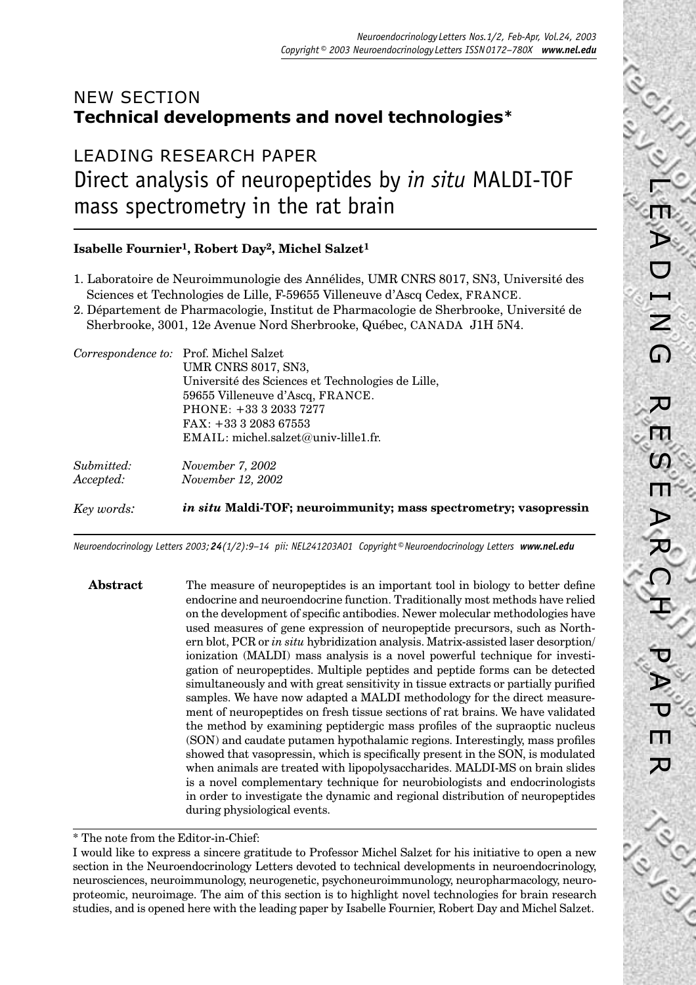# NEW SECTION **Technical developments and novel technologies \***

LEADING RESEARCH PAPER Direct analysis of neuropeptides by *in situ* MALDI-TOF mass spectrometry in the rat brain

## **Isabelle Fournier1, Robert Day2, Michel Salzet1**

- 1. Laboratoire de Neuroimmunologie des Annélides, UMR CNRS 8017, SN3, Université des Sciences et Technologies de Lille, F-59655 Villeneuve d'Ascq Cedex, FRANCE.
- 2. Département de Pharmacologie, Institut de Pharmacologie de Sherbrooke, Université de Sherbrooke, 3001, 12e Avenue Nord Sherbrooke, Québec, CANADA J1H 5N4.

|            | Université des Sciences et Technologies de Lille,<br>59655 Villeneuve d'Ascq, FRANCE.<br>PHONE: +33 3 2033 7277 |
|------------|-----------------------------------------------------------------------------------------------------------------|
|            | $FAX: +333208367553$                                                                                            |
|            | $EMAIL: michel.salzet@univ-lille1.fr.$                                                                          |
| Submitted: | November 7, 2002                                                                                                |
| Accepted:  | <i>November 12, 2002</i>                                                                                        |
| Key words: | in situ Maldi-TOF; neuroimmunity; mass spectrometry; vasopressin                                                |

*Neuroendocrinology Letters 2003; 24(1/2):9–14 pii: NEL241203A01 Copyright © Neuroendocrinology Letters www.nel.edu*

**Abstract** The measure of neuropeptides is an important tool in biology to better define endocrine and neuroendocrine function. Traditionally most methods have relied on the development of specific antibodies. Newer molecular methodologies have used measures of gene expression of neuropeptide precursors, such as Northern blot, PCR or *in situ* hybridization analysis. Matrix-assisted laser desorption/ ionization (MALDI) mass analysis is a novel powerful technique for investigation of neuropeptides. Multiple peptides and peptide forms can be detected simultaneously and with great sensitivity in tissue extracts or partially purified samples. We have now adapted a MALDI methodology for the direct measurement of neuropeptides on fresh tissue sections of rat brains. We have validated the method by examining peptidergic mass profiles of the supraoptic nucleus (SON) and caudate putamen hypothalamic regions. Interestingly, mass profiles showed that vasopressin, which is specifically present in the SON, is modulated when animals are treated with lipopolysaccharides. MALDI-MS on brain slides is a novel complementary technique for neurobiologists and endocrinologists in order to investigate the dynamic and regional distribution of neuropeptides during physiological events.

<sup>\*</sup> The note from the Editor-in-Chief:

I would like to express a sincere gratitude to Professor Michel Salzet for his initiative to open a new section in the Neuroendocrinology Letters devoted to technical developments in neuroendocrinology, neurosciences, neuroimmunology, neurogenetic, psychoneuroimmunology, neuropharmacology, neuroproteomic, neuroimage. The aim of this section is to highlight novel technologies for brain research studies, and is opened here with the leading paper by Isabelle Fournier, Robert Day and Michel Salzet.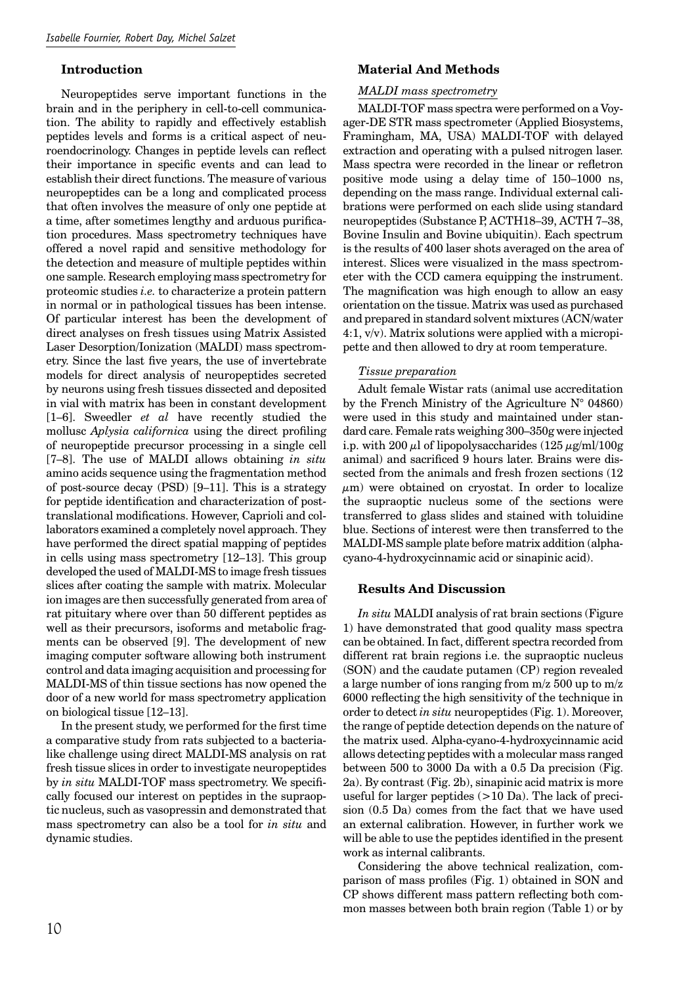#### **Introduction**

Neuropeptides serve important functions in the brain and in the periphery in cell-to-cell communication. The ability to rapidly and effectively establish peptides levels and forms is a critical aspect of neuroendocrinology. Changes in peptide levels can reflect their importance in specific events and can lead to establish their direct functions. The measure of various neuropeptides can be a long and complicated process that often involves the measure of only one peptide at a time, after sometimes lengthy and arduous purification procedures. Mass spectrometry techniques have offered a novel rapid and sensitive methodology for the detection and measure of multiple peptides within one sample. Research employing mass spectrometry for proteomic studies *i.e.* to characterize a protein pattern in normal or in pathological tissues has been intense. Of particular interest has been the development of direct analyses on fresh tissues using Matrix Assisted Laser Desorption/Ionization (MALDI) mass spectrometry. Since the last five years, the use of invertebrate models for direct analysis of neuropeptides secreted by neurons using fresh tissues dissected and deposited in vial with matrix has been in constant development [1–6]. Sweedler *et al* have recently studied the mollusc *Aplysia californica* using the direct profiling of neuropeptide precursor processing in a single cell [7–8]. The use of MALDI allows obtaining *in situ* amino acids sequence using the fragmentation method of post-source decay (PSD) [9–11]. This is a strategy for peptide identification and characterization of posttranslational modifications. However, Caprioli and collaborators examined a completely novel approach. They have performed the direct spatial mapping of peptides in cells using mass spectrometry [12–13]. This group developed the used of MALDI-MS to image fresh tissues slices after coating the sample with matrix. Molecular ion images are then successfully generated from area of rat pituitary where over than 50 different peptides as well as their precursors, isoforms and metabolic fragments can be observed [9]. The development of new imaging computer software allowing both instrument control and data imaging acquisition and processing for MALDI-MS of thin tissue sections has now opened the door of a new world for mass spectrometry application on biological tissue [12–13].

In the present study, we performed for the first time a comparative study from rats subjected to a bacterialike challenge using direct MALDI-MS analysis on rat fresh tissue slices in order to investigate neuropeptides by *in situ* MALDI-TOF mass spectrometry. We specifically focused our interest on peptides in the supraoptic nucleus, such as vasopressin and demonstrated that mass spectrometry can also be a tool for *in situ* and dynamic studies.

## **Material And Methods**

#### *MALDI mass spectrometry*

MALDI-TOF mass spectra were performed on a Voyager-DE STR mass spectrometer (Applied Biosystems, Framingham, MA, USA) MALDI-TOF with delayed extraction and operating with a pulsed nitrogen laser. Mass spectra were recorded in the linear or refletron positive mode using a delay time of 150–1000 ns, depending on the mass range. Individual external calibrations were performed on each slide using standard neuropeptides (Substance P, ACTH18–39, ACTH 7–38, Bovine Insulin and Bovine ubiquitin). Each spectrum is the results of 400 laser shots averaged on the area of interest. Slices were visualized in the mass spectrometer with the CCD camera equipping the instrument. The magnification was high enough to allow an easy orientation on the tissue. Matrix was used as purchased and prepared in standard solvent mixtures (ACN/water 4:1, v/v). Matrix solutions were applied with a micropipette and then allowed to dry at room temperature.

### *Tissue preparation*

Adult female Wistar rats (animal use accreditation by the French Ministry of the Agriculture  $N^{\circ}$  04860) were used in this study and maintained under standard care. Female rats weighing 300–350g were injected i.p. with 200  $\mu$ l of lipopolysaccharides (125  $\mu$ g/ml/100g) animal) and sacrificed 9 hours later. Brains were dissected from the animals and fresh frozen sections (12  $\mu$ m) were obtained on cryostat. In order to localize the supraoptic nucleus some of the sections were transferred to glass slides and stained with toluidine blue. Sections of interest were then transferred to the MALDI-MS sample plate before matrix addition (alphacyano-4-hydroxycinnamic acid or sinapinic acid).

#### **Results And Discussion**

*In situ* MALDI analysis of rat brain sections (Figure 1) have demonstrated that good quality mass spectra can be obtained. In fact, different spectra recorded from different rat brain regions i.e. the supraoptic nucleus (SON) and the caudate putamen (CP) region revealed a large number of ions ranging from m/z 500 up to m/z 6000 reflecting the high sensitivity of the technique in order to detect *in situ* neuropeptides (Fig. 1). Moreover, the range of peptide detection depends on the nature of the matrix used. Alpha-cyano-4-hydroxycinnamic acid allows detecting peptides with a molecular mass ranged between 500 to 3000 Da with a 0.5 Da precision (Fig. 2a). By contrast (Fig. 2b), sinapinic acid matrix is more useful for larger peptides (>10 Da). The lack of precision (0.5 Da) comes from the fact that we have used an external calibration. However, in further work we will be able to use the peptides identified in the present work as internal calibrants.

Considering the above technical realization, comparison of mass profiles (Fig. 1) obtained in SON and CP shows different mass pattern reflecting both common masses between both brain region (Table 1) or by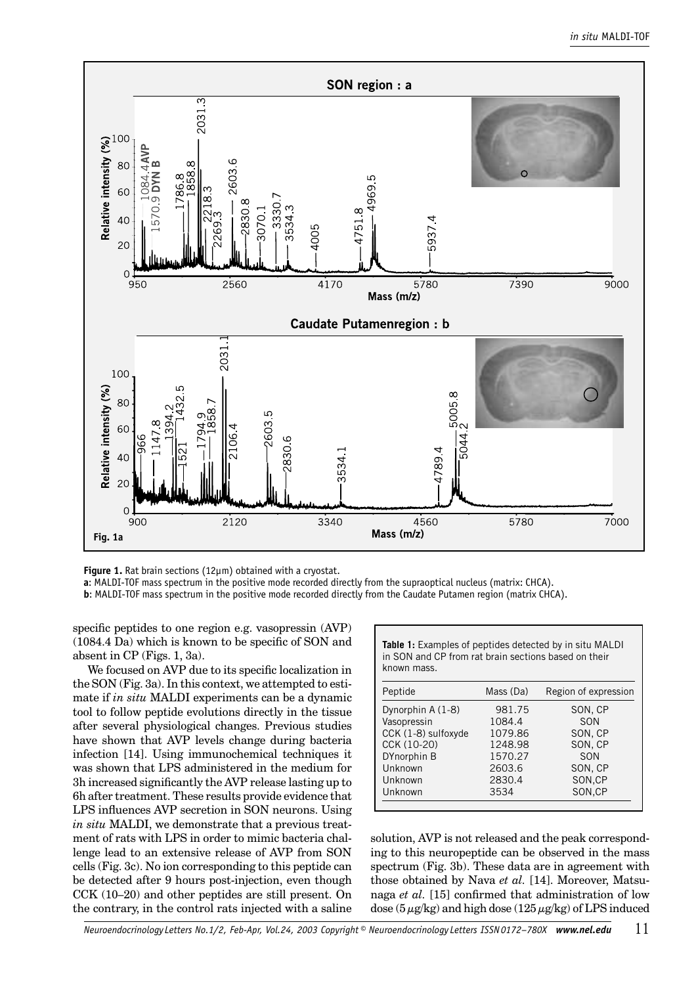

**Figure 1.** Rat brain sections (12µm) obtained with a cryostat.

**a**: MALDI-TOF mass spectrum in the positive mode recorded directly from the supraoptical nucleus (matrix: CHCA).

**b**: MALDI-TOF mass spectrum in the positive mode recorded directly from the Caudate Putamen region (matrix CHCA).

specific peptides to one region e.g. vasopressin (AVP)  $(1084.4 \text{ Da})$  which is known to be specific of SON and absent in CP (Figs. 1, 3a).

We focused on AVP due to its specific localization in the SON (Fig. 3a). In this context, we attempted to estimate if *in situ* MALDI experiments can be a dynamic tool to follow peptide evolutions directly in the tissue after several physiological changes. Previous studies have shown that AVP levels change during bacteria infection [14]. Using immunochemical techniques it was shown that LPS administered in the medium for 3h increased significantly the AVP release lasting up to 6h after treatment. These results provide evidence that LPS influences AVP secretion in SON neurons. Using *in situ* MALDI, we demonstrate that a previous treatment of rats with LPS in order to mimic bacteria challenge lead to an extensive release of AVP from SON cells (Fig. 3c). No ion corresponding to this peptide can be detected after 9 hours post-injection, even though CCK (10–20) and other peptides are still present. On the contrary, in the control rats injected with a saline **Table 1:** Examples of peptides detected by in situ MALDI in SON and CP from rat brain sections based on their known mass.

| Peptide             | Mass (Da) | Region of expression |
|---------------------|-----------|----------------------|
| Dynorphin A (1-8)   | 981.75    | SON, CP              |
| Vasopressin         | 1084.4    | SON                  |
| CCK (1-8) sulfoxyde | 1079.86   | SON, CP              |
| CCK (10-20)         | 1248.98   | SON, CP              |
| DYnorphin B         | 1570.27   | SON                  |
| Unknown             | 2603.6    | SON, CP              |
| Unknown             | 2830.4    | SON,CP               |
| Unknown             | 3534      | SON,CP               |

solution, AVP is not released and the peak corresponding to this neuropeptide can be observed in the mass spectrum (Fig. 3b). These data are in agreement with those obtained by Nava *et al.* [14]. Moreover, Matsunaga *et al.* [15] confirmed that administration of low dose  $(5 \mu g/kg)$  and high dose  $(125 \mu g/kg)$  of LPS induced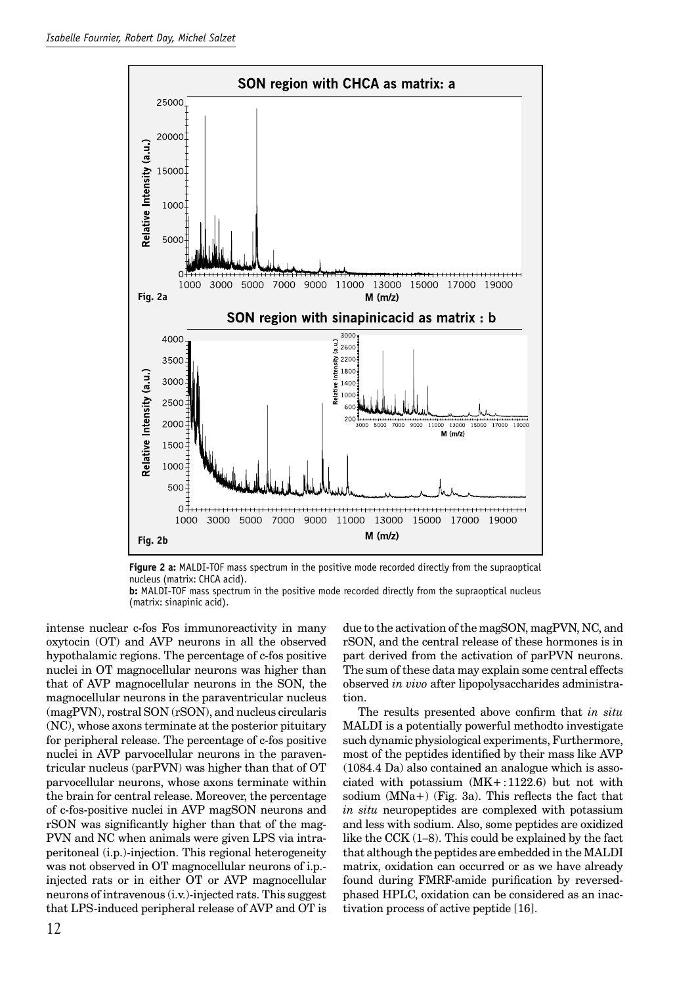

**Figure 2 a:** MALDI-TOF mass spectrum in the positive mode recorded directly from the supraoptical nucleus (matrix: CHCA acid).

**b:** MALDI-TOF mass spectrum in the positive mode recorded directly from the supraoptical nucleus (matrix: sinapinic acid).

intense nuclear c-fos Fos immunoreactivity in many oxytocin (OT) and AVP neurons in all the observed hypothalamic regions. The percentage of c-fos positive nuclei in OT magnocellular neurons was higher than that of AVP magnocellular neurons in the SON, the magnocellular neurons in the paraventricular nucleus (magPVN), rostral SON (rSON), and nucleus circularis (NC), whose axons terminate at the posterior pituitary for peripheral release. The percentage of c-fos positive nuclei in AVP parvocellular neurons in the paraventricular nucleus (parPVN) was higher than that of OT parvocellular neurons, whose axons terminate within the brain for central release. Moreover, the percentage of c-fos-positive nuclei in AVP magSON neurons and rSON was significantly higher than that of the mag-PVN and NC when animals were given LPS via intraperitoneal (i.p.)-injection. This regional heterogeneity was not observed in OT magnocellular neurons of i.p. injected rats or in either OT or AVP magnocellular neurons of intravenous (i.v.)-injected rats. This suggest that LPS-induced peripheral release of AVP and OT is

due to the activation of the magSON, magPVN, NC, and rSON, and the central release of these hormones is in part derived from the activation of parPVN neurons. The sum of these data may explain some central effects observed *in vivo* after lipopolysaccharides administration.

The results presented above confirm that *in situ* MALDI is a potentially powerful methodto investigate such dynamic physiological experiments, Furthermore, most of the peptides identified by their mass like AVP (1084.4 Da) also contained an analogue which is associated with potassium  $(MK + 1122.6)$  but not with sodium  $(MNa+)$  (Fig. 3a). This reflects the fact that *in situ* neuropeptides are complexed with potassium and less with sodium. Also, some peptides are oxidized like the CCK (1–8). This could be explained by the fact that although the peptides are embedded in the MALDI matrix, oxidation can occurred or as we have already found during FMRF-amide purification by reversedphased HPLC, oxidation can be considered as an inactivation process of active peptide [16].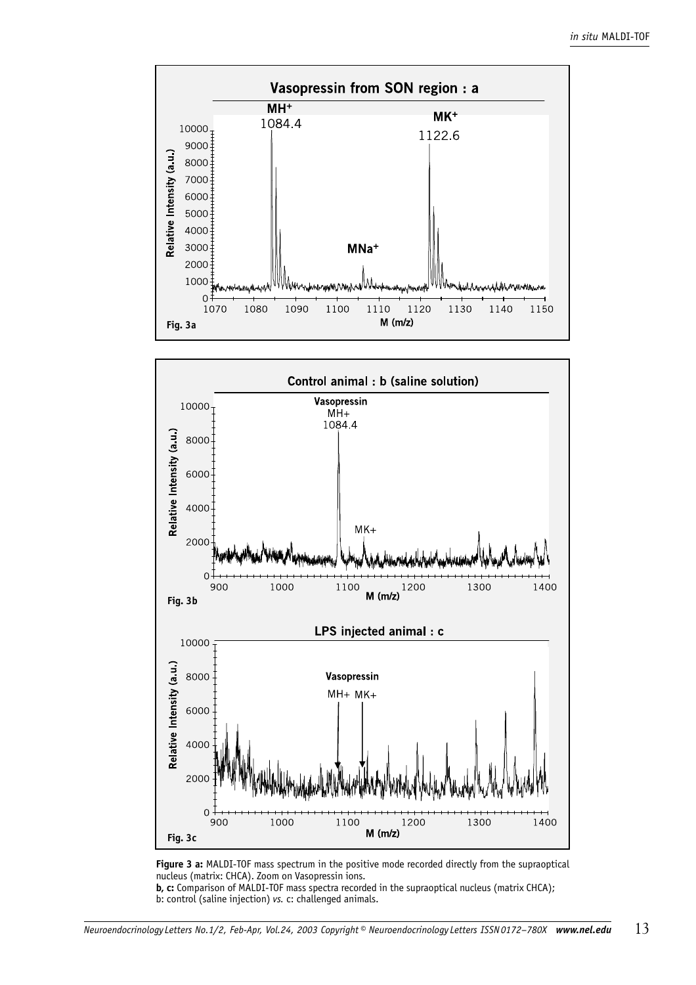



**Figure 3 a:** MALDI-TOF mass spectrum in the positive mode recorded directly from the supraoptical nucleus (matrix: CHCA). Zoom on Vasopressin ions.

**b, c:** Comparison of MALDI-TOF mass spectra recorded in the supraoptical nucleus (matrix CHCA); b: control (saline injection) *vs.* c: challenged animals.